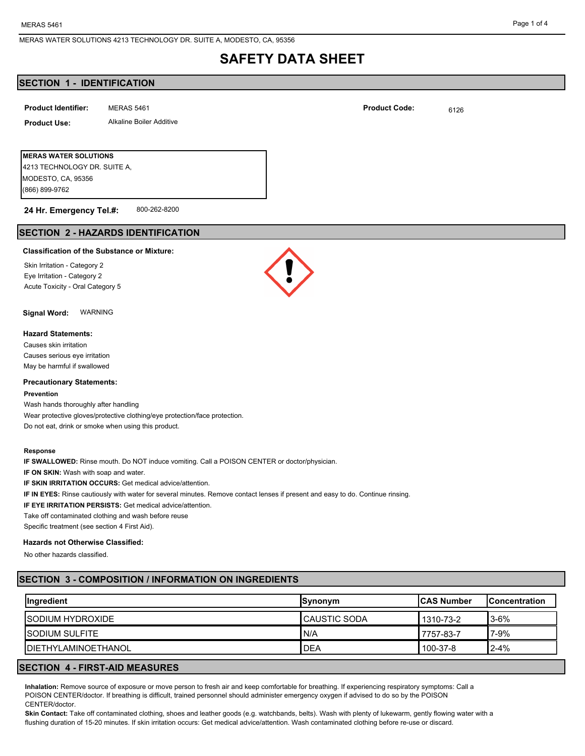## **SECTION 1 - IDENTIFICATION**

| <b>Product Identifier:</b> | MERAS 5461               | <b>Product Code:</b> | 6126 |
|----------------------------|--------------------------|----------------------|------|
| <b>Product Use:</b>        | Alkaline Boiler Additive |                      |      |
|                            |                          |                      |      |

| IMERAS WATER SOLUTIONS       |  |  |  |
|------------------------------|--|--|--|
| 4213 TECHNOLOGY DR. SUITE A. |  |  |  |
| MODESTO, CA, 95356           |  |  |  |
| (866) 899-9762               |  |  |  |
|                              |  |  |  |

#### 800-262-8200 **24 Hr. Emergency Tel.#:**

## **SECTION 2 - HAZARDS IDENTIFICATION**

### **Classification of the Substance or Mixture:**

Skin Irritation - Category 2 Eye Irritation - Category 2 Acute Toxicity - Oral Category 5

**Signal Word:** WARNING

## **Hazard Statements:**

Causes skin irritation Causes serious eye irritation May be harmful if swallowed

#### **Precautionary Statements:**

#### **Prevention**

Wash hands thoroughly after handling Wear protective gloves/protective clothing/eye protection/face protection. Do not eat, drink or smoke when using this product.

#### **Response**

**IF SWALLOWED:** Rinse mouth. Do NOT induce vomiting. Call a POISON CENTER or doctor/physician.

**IF ON SKIN:** Wash with soap and water.

**IF SKIN IRRITATION OCCURS:** Get medical advice/attention.

**IF IN EYES:** Rinse cautiously with water for several minutes. Remove contact lenses if present and easy to do. Continue rinsing.

**IF EYE IRRITATION PERSISTS:** Get medical advice/attention.

Take off contaminated clothing and wash before reuse

Specific treatment (see section 4 First Aid).

## **Hazards not Otherwise Classified:**

No other hazards classified.

## **SECTION 3 - COMPOSITION / INFORMATION ON INGREDIENTS**

| <b>Ingredient</b>           | <b>Synonym</b> | <b>ICAS Number</b> | <b>IConcentration</b> |
|-----------------------------|----------------|--------------------|-----------------------|
| <b>ISODIUM HYDROXIDE</b>    | I CAUSTIC SODA | 1310-73-2          | $3-6%$                |
| <b>ISODIUM SULFITE</b>      | N/A            | 7757-83-7          | $7 - 9%$              |
| <b>IDIETHYLAMINOETHANOL</b> | DEA            | 100-37-8           | $2 - 4%$              |

## **SECTION 4 - FIRST-AID MEASURES**

**Inhalation:** Remove source of exposure or move person to fresh air and keep comfortable for breathing. If experiencing respiratory symptoms: Call a POISON CENTER/doctor. If breathing is difficult, trained personnel should administer emergency oxygen if advised to do so by the POISON CENTER/doctor.

**Skin Contact:** Take off contaminated clothing, shoes and leather goods (e.g. watchbands, belts). Wash with plenty of lukewarm, gently flowing water with a flushing duration of 15-20 minutes. If skin irritation occurs: Get medical advice/attention. Wash contaminated clothing before re-use or discard.

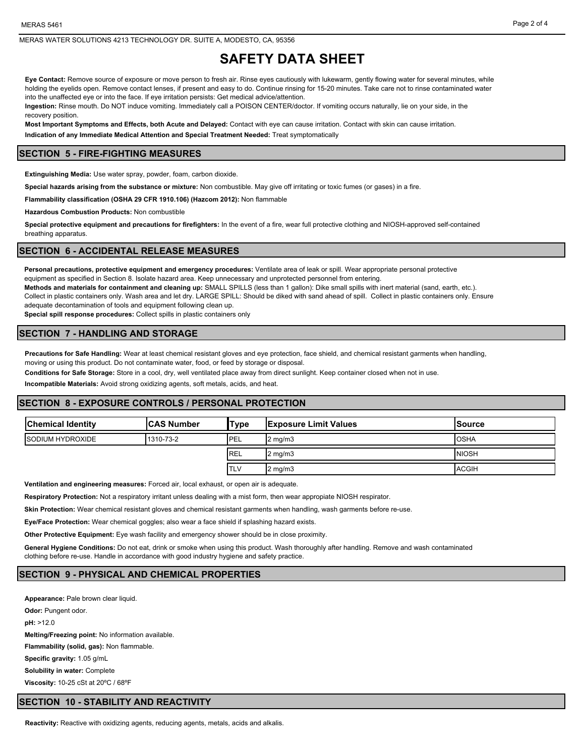**Eye Contact:** Remove source of exposure or move person to fresh air. Rinse eyes cautiously with lukewarm, gently flowing water for several minutes, while holding the eyelids open. Remove contact lenses, if present and easy to do. Continue rinsing for 15-20 minutes. Take care not to rinse contaminated water into the unaffected eye or into the face. If eye irritation persists: Get medical advice/attention.

**Ingestion:** Rinse mouth. Do NOT induce vomiting. Immediately call a POISON CENTER/doctor. If vomiting occurs naturally, lie on your side, in the recovery position.

**Most Important Symptoms and Effects, both Acute and Delayed:** Contact with eye can cause irritation. Contact with skin can cause irritation. **Indication of any Immediate Medical Attention and Special Treatment Needed:** Treat symptomatically

### **SECTION 5 - FIRE-FIGHTING MEASURES**

**Extinguishing Media:** Use water spray, powder, foam, carbon dioxide.

**Special hazards arising from the substance or mixture:** Non combustible. May give off irritating or toxic fumes (or gases) in a fire.

**Flammability classification (OSHA 29 CFR 1910.106) (Hazcom 2012):** Non flammable

**Hazardous Combustion Products:** Non combustible

**Special protective equipment and precautions for firefighters:** In the event of a fire, wear full protective clothing and NIOSH-approved self-contained breathing apparatus.

#### **SECTION 6 - ACCIDENTAL RELEASE MEASURES**

**Personal precautions, protective equipment and emergency procedures:** Ventilate area of leak or spill. Wear appropriate personal protective equipment as specified in Section 8. Isolate hazard area. Keep unnecessary and unprotected personnel from entering. **Methods and materials for containment and cleaning up:** SMALL SPILLS (less than 1 gallon): Dike small spills with inert material (sand, earth, etc.).

Collect in plastic containers only. Wash area and let dry. LARGE SPILL: Should be diked with sand ahead of spill. Collect in plastic containers only. Ensure

adequate decontamination of tools and equipment following clean up.

**Special spill response procedures:** Collect spills in plastic containers only

### **SECTION 7 - HANDLING AND STORAGE**

**Precautions for Safe Handling:** Wear at least chemical resistant gloves and eye protection, face shield, and chemical resistant garments when handling, moving or using this product. Do not contaminate water, food, or feed by storage or disposal.

**Conditions for Safe Storage:** Store in a cool, dry, well ventilated place away from direct sunlight. Keep container closed when not in use.

**Incompatible Materials:** Avoid strong oxidizing agents, soft metals, acids, and heat.

### **SECTION 8 - EXPOSURE CONTROLS / PERSONAL PROTECTION**

| <b>Chemical Identity</b> | <b>CAS Number</b> | 'Type      | <b>Exposure Limit Values</b> | ISource       |
|--------------------------|-------------------|------------|------------------------------|---------------|
| <b>ISODIUM HYDROXIDE</b> | 1310-73-2         | 'PEL       | 2 mg/m3                      | <b>OSHA</b>   |
|                          |                   | <b>REL</b> | 2 mg/m3                      | <b>INIOSH</b> |
|                          |                   | <b>TLV</b> | $2 \text{ mg/m}$             | <b>ACGIH</b>  |

**Ventilation and engineering measures:** Forced air, local exhaust, or open air is adequate.

**Respiratory Protection:** Not a respiratory irritant unless dealing with a mist form, then wear appropiate NIOSH respirator.

**Skin Protection:** Wear chemical resistant gloves and chemical resistant garments when handling, wash garments before re-use.

**Eye/Face Protection:** Wear chemical goggles; also wear a face shield if splashing hazard exists.

**Other Protective Equipment:** Eye wash facility and emergency shower should be in close proximity.

**General Hygiene Conditions:** Do not eat, drink or smoke when using this product. Wash thoroughly after handling. Remove and wash contaminated clothing before re-use. Handle in accordance with good industry hygiene and safety practice.

### **SECTION 9 - PHYSICAL AND CHEMICAL PROPERTIES**

**Appearance:** Pale brown clear liquid. **Odor: Pungent odor. pH:** >12.0 **Melting/Freezing point:** No information available. **Flammability (solid, gas):** Non flammable. **Specific gravity:** 1.05 g/mL **Solubility in water:** Complete **Viscosity:** 10-25 cSt at 20ºC / 68ºF

#### **SECTION 10 - STABILITY AND REACTIVITY**

**Reactivity:** Reactive with oxidizing agents, reducing agents, metals, acids and alkalis.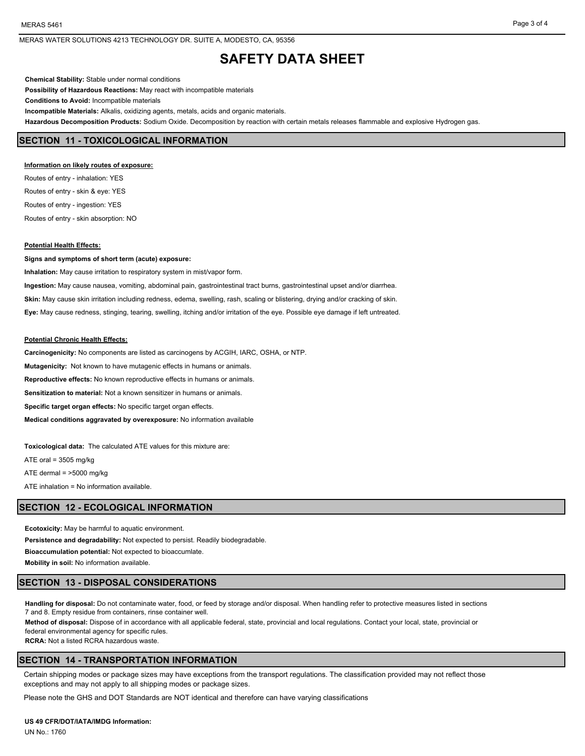**Chemical Stability:** Stable under normal conditions **Possibility of Hazardous Reactions:** May react with incompatible materials **Conditions to Avoid:** Incompatible materials **Incompatible Materials:** Alkalis, oxidizing agents, metals, acids and organic materials. **Hazardous Decomposition Products:** Sodium Oxide. Decomposition by reaction with certain metals releases flammable and explosive Hydrogen gas.

### **SECTION 11 - TOXICOLOGICAL INFORMATION**

#### **Information on likely routes of exposure:**

Routes of entry - inhalation: YES Routes of entry - skin & eye: YES Routes of entry - ingestion: YES Routes of entry - skin absorption: NO

#### **Potential Health Effects:**

**Signs and symptoms of short term (acute) exposure:**

**Inhalation:** May cause irritation to respiratory system in mist/vapor form. **Ingestion:** May cause nausea, vomiting, abdominal pain, gastrointestinal tract burns, gastrointestinal upset and/or diarrhea. **Skin:** May cause skin irritation including redness, edema, swelling, rash, scaling or blistering, drying and/or cracking of skin. **Eye:** May cause redness, stinging, tearing, swelling, itching and/or irritation of the eye. Possible eye damage if left untreated.

#### **Potential Chronic Health Effects:**

**Carcinogenicity:** No components are listed as carcinogens by ACGIH, IARC, OSHA, or NTP. **Mutagenicity:** Not known to have mutagenic effects in humans or animals. **Reproductive effects:** No known reproductive effects in humans or animals. **Sensitization to material:** Not a known sensitizer in humans or animals. **Specific target organ effects:** No specific target organ effects. **Medical conditions aggravated by overexposure:** No information available

**Toxicological data:** The calculated ATE values for this mixture are:

ATE oral = 3505 mg/kg

ATE dermal = >5000 mg/kg

ATE inhalation = No information available.

#### **SECTION 12 - ECOLOGICAL INFORMATION**

**Ecotoxicity:** May be harmful to aquatic environment. **Persistence and degradability:** Not expected to persist. Readily biodegradable. **Bioaccumulation potential:** Not expected to bioaccumlate. **Mobility in soil:** No information available.

#### **SECTION 13 - DISPOSAL CONSIDERATIONS**

**Handling for disposal:** Do not contaminate water, food, or feed by storage and/or disposal. When handling refer to protective measures listed in sections 7 and 8. Empty residue from containers, rinse container well.

**Method of disposal:** Dispose of in accordance with all applicable federal, state, provincial and local regulations. Contact your local, state, provincial or federal environmental agency for specific rules.

**RCRA:** Not a listed RCRA hazardous waste.

## **SECTION 14 - TRANSPORTATION INFORMATION**

Certain shipping modes or package sizes may have exceptions from the transport regulations. The classification provided may not reflect those exceptions and may not apply to all shipping modes or package sizes.

Please note the GHS and DOT Standards are NOT identical and therefore can have varying classifications